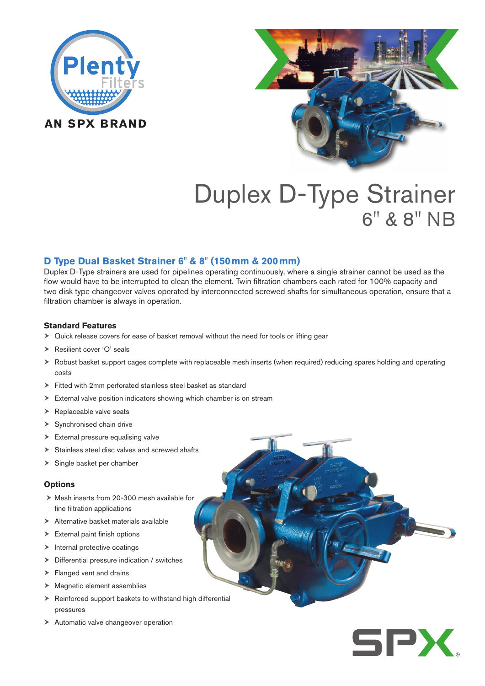



# Duplex D-Type Strainer 6" & 8" NB

# **D Type Dual Basket Strainer 6" & 8" (150mm & 200mm)**

Duplex D-Type strainers are used for pipelines operating continuously, where a single strainer cannot be used as the flow would have to be interrupted to clean the element. Twin filtration chambers each rated for 100% capacity and two disk type changeover valves operated by interconnected screwed shafts for simultaneous operation, ensure that a filtration chamber is always in operation.

### **Standard Features**

- $\triangleright$  Quick release covers for ease of basket removal without the need for tools or lifting gear
- ▶ Resilient cover 'O' seals
- Robust basket support cages complete with replaceable mesh inserts (when required) reducing spares holding and operating costs
- Fitted with 2mm perforated stainless steel basket as standard
- External valve position indicators showing which chamber is on stream
- ▶ Replaceable valve seats
- $\triangleright$  Synchronised chain drive
- > External pressure equalising valve
- Stainless steel disc valves and screwed shafts
- $\triangleright$  Single basket per chamber

#### **Options**

- $\triangleright$  Mesh inserts from 20-300 mesh available for fine filtration applications
- Alternative basket materials available
- $\blacktriangleright$  External paint finish options
- $\blacktriangleright$  Internal protective coatings
- Differential pressure indication / switches
- > Flanged vent and drains
- $\blacktriangleright$  Magnetic element assemblies
- $\triangleright$  Reinforced support baskets to withstand high differential pressures
- Automatic valve changeover operation